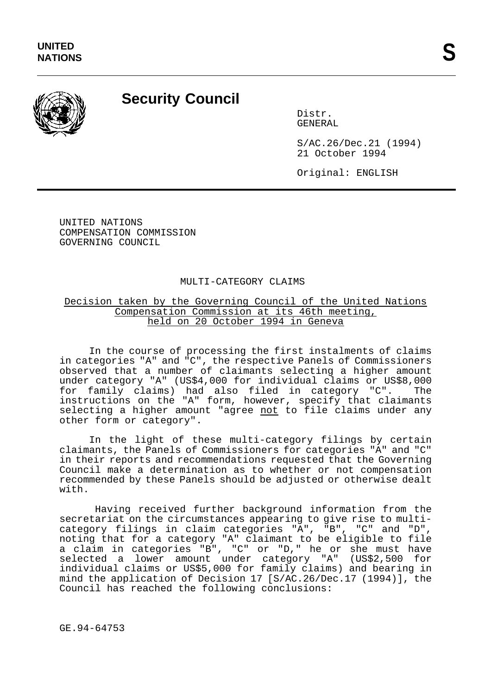

## **Security Council**

Distr. GENERAL

S/AC.26/Dec.21 (1994) 21 October 1994

Original: ENGLISH

UNITED NATIONS COMPENSATION COMMISSION GOVERNING COUNCIL

## MULTI-CATEGORY CLAIMS

## Decision taken by the Governing Council of the United Nations Compensation Commission at its 46th meeting, held on 20 October 1994 in Geneva

In the course of processing the first instalments of claims in categories "A" and "C", the respective Panels of Commissioners observed that a number of claimants selecting a higher amount under category "A" (US\$4,000 for individual claims or US\$8,000 for family claims) had also filed in category "C". The instructions on the "A" form, however, specify that claimants selecting a higher amount "agree not to file claims under any other form or category".

In the light of these multi-category filings by certain claimants, the Panels of Commissioners for categories "A" and "C" in their reports and recommendations requested that the Governing Council make a determination as to whether or not compensation recommended by these Panels should be adjusted or otherwise dealt with.

Having received further background information from the secretariat on the circumstances appearing to give rise to multicategory filings in claim categories "A", "B", "C" and "D", noting that for a category "A" claimant to be eligible to file a claim in categories "B", "C" or "D," he or she must have selected a lower amount under category "A" (US\$2,500 for individual claims or US\$5,000 for family claims) and bearing in mind the application of Decision 17 [S/AC.26/Dec.17 (1994)], the Council has reached the following conclusions:

GE.94-64753